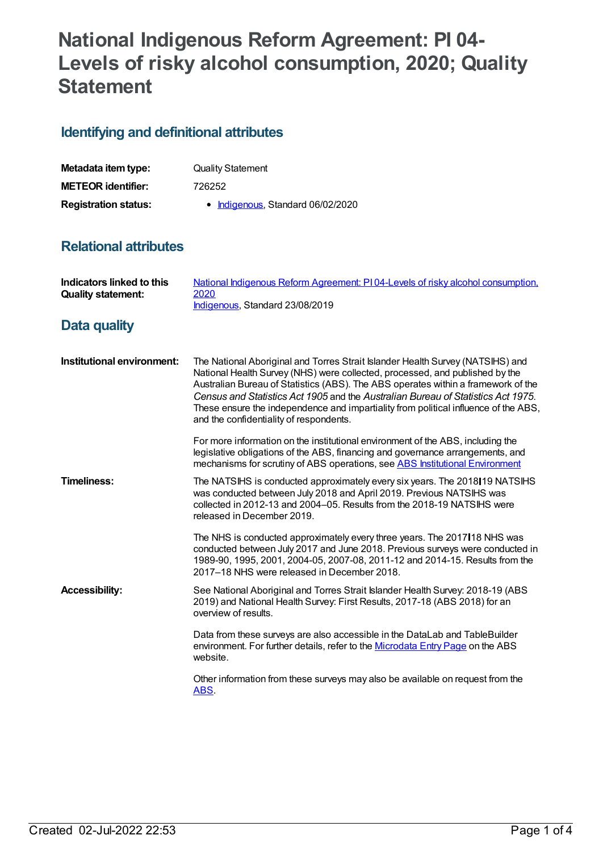# **National Indigenous Reform Agreement: PI 04- Levels of risky alcohol consumption, 2020; Quality Statement**

## **Identifying and definitional attributes**

| Metadata item type:         | <b>Quality Statement</b>          |
|-----------------------------|-----------------------------------|
| <b>METEOR identifier:</b>   | 726252                            |
| <b>Registration status:</b> | • Indigenous, Standard 06/02/2020 |

## **Relational attributes**

| Indicators linked to this<br><b>Quality statement:</b> | National Indigenous Reform Agreement: PI04-Levels of risky alcohol consumption,<br>2020<br>Indigenous, Standard 23/08/2019                                                                                                                                                                                                                                                                                                                                                |
|--------------------------------------------------------|---------------------------------------------------------------------------------------------------------------------------------------------------------------------------------------------------------------------------------------------------------------------------------------------------------------------------------------------------------------------------------------------------------------------------------------------------------------------------|
| <b>Data quality</b>                                    |                                                                                                                                                                                                                                                                                                                                                                                                                                                                           |
| Institutional environment:                             | The National Aboriginal and Torres Strait Islander Health Survey (NATSIHS) and<br>National Health Survey (NHS) were collected, processed, and published by the<br>Australian Bureau of Statistics (ABS). The ABS operates within a framework of the<br>Census and Statistics Act 1905 and the Australian Bureau of Statistics Act 1975.<br>These ensure the independence and impartiality from political influence of the ABS,<br>and the confidentiality of respondents. |
|                                                        | For more information on the institutional environment of the ABS, including the<br>legislative obligations of the ABS, financing and governance arrangements, and<br>mechanisms for scrutiny of ABS operations, see ABS Institutional Environment                                                                                                                                                                                                                         |
| <b>Timeliness:</b>                                     | The NATSIHS is conducted approximately every six years. The 2018 19 NATSIHS<br>was conducted between July 2018 and April 2019. Previous NATSIHS was<br>collected in 2012-13 and 2004–05. Results from the 2018-19 NATSIHS were<br>released in December 2019.                                                                                                                                                                                                              |
|                                                        | The NHS is conducted approximately every three years. The 2017 118 NHS was<br>conducted between July 2017 and June 2018. Previous surveys were conducted in<br>1989-90, 1995, 2001, 2004-05, 2007-08, 2011-12 and 2014-15. Results from the<br>2017–18 NHS were released in December 2018.                                                                                                                                                                                |
| <b>Accessibility:</b>                                  | See National Aboriginal and Torres Strait Islander Health Survey: 2018-19 (ABS<br>2019) and National Health Survey: First Results, 2017-18 (ABS 2018) for an<br>overview of results.                                                                                                                                                                                                                                                                                      |
|                                                        | Data from these surveys are also accessible in the DataLab and TableBuilder<br>environment. For further details, refer to the Microdata Entry Page on the ABS<br>website.                                                                                                                                                                                                                                                                                                 |
|                                                        | Other information from these surveys may also be available on request from the<br>ABS.                                                                                                                                                                                                                                                                                                                                                                                    |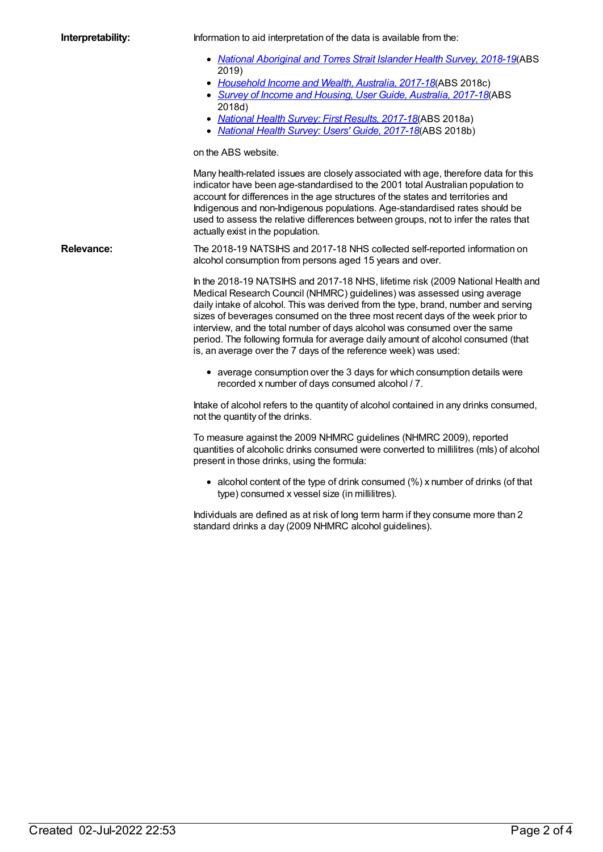**Interpretability:** Information to aid interpretation of the data is available from the:

- *National [Aboriginal](https://www.abs.gov.au/ausstats/abs@.nsf/mf/4715.0) and Torres Strait Islander Health Survey, 2018-19*(ABS 2019)
- *[Household](https://www.abs.gov.au/ausstats/abs@.nsf/mf/6523.0) Income and Wealth, Australia, 2017-18*(ABS 2018c)
- *Survey of Income and Housing, User Guide, [Australia,](https://www.abs.gov.au/ausstats/abs@.nsf/mf/6553.0) 2017-18*(ABS 2018d)
- *[National](https://www.abs.gov.au/ausstats/abs@.nsf/mf/4364.0.55.001) Health Survey: First Results, 2017-18*(ABS 2018a)
- *[National](https://www.abs.gov.au/ausstats/abs@.nsf/mf/4363.0) Health Survey: Users' Guide, 2017-18*(ABS 2018b)

on the ABS website.

Many health-related issues are closely associated with age, therefore data for this indicator have been age-standardised to the 2001 total Australian population to account for differences in the age structures of the states and territories and Indigenous and non-Indigenous populations. Age-standardised rates should be used to assess the relative differences between groups, not to infer the rates that actually exist in the population.

**Relevance:** The 2018-19 NATSIHS and 2017-18 NHS collected self-reported information on alcohol consumption from persons aged 15 years and over.

> In the 2018-19 NATSIHS and 2017-18 NHS, lifetime risk (2009 National Health and Medical Research Council (NHMRC) guidelines) was assessed using average daily intake of alcohol. This was derived from the type, brand, number and serving sizes of beverages consumed on the three most recent days of the week prior to interview, and the total number of days alcohol was consumed over the same period. The following formula for average daily amount of alcohol consumed (that is, an average over the 7 days of the reference week) was used:

average consumption over the 3 days for which consumption details were recorded x number of days consumed alcohol / 7.

Intake of alcohol refers to the quantity of alcohol contained in any drinks consumed, not the quantity of the drinks.

To measure against the 2009 NHMRC guidelines (NHMRC 2009), reported quantities of alcoholic drinks consumed were converted to millilitres (mls) of alcohol present in those drinks, using the formula:

• alcohol content of the type of drink consumed (%) x number of drinks (of that type) consumed x vessel size (in millilitres).

Individuals are defined as at risk of long term harm if they consume more than 2 standard drinks a day (2009 NHMRC alcohol guidelines).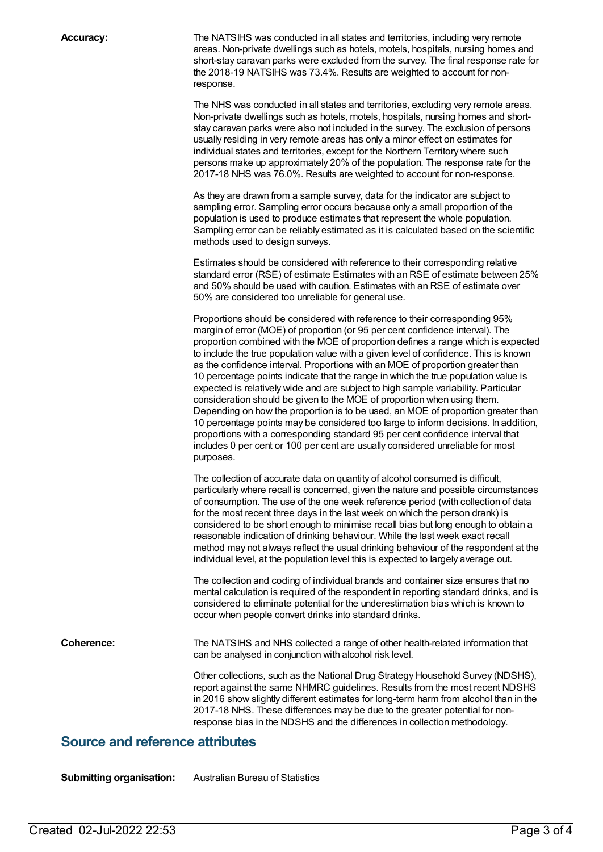**Accuracy:** The NATSIHS was conducted in all states and territories, including very remote areas. Non-private dwellings such as hotels, motels, hospitals, nursing homes and short-stay caravan parks were excluded from the survey. The final response rate for the 2018-19 NATSIHS was 73.4%. Results are weighted to account for nonresponse.

> The NHS was conducted in all states and territories, excluding very remote areas. Non-private dwellings such as hotels, motels, hospitals, nursing homes and shortstay caravan parks were also not included in the survey. The exclusion of persons usually residing in very remote areas has only a minor effect on estimates for individual states and territories, except for the Northern Territory where such persons make up approximately 20% of the population. The response rate for the 2017-18 NHS was 76.0%. Results are weighted to account for non-response.

> As they are drawn from a sample survey, data for the indicator are subject to sampling error. Sampling error occurs because only a small proportion of the population is used to produce estimates that represent the whole population. Sampling error can be reliably estimated as it is calculated based on the scientific methods used to design surveys.

Estimates should be considered with reference to their corresponding relative standard error (RSE) of estimate Estimates with an RSE of estimate between 25% and 50% should be used with caution. Estimates with an RSE of estimate over 50% are considered too unreliable for general use.

Proportions should be considered with reference to their corresponding 95% margin of error (MOE) of proportion (or 95 per cent confidence interval). The proportion combined with the MOE of proportion defines a range which is expected to include the true population value with a given level of confidence. This is known as the confidence interval. Proportions with an MOE of proportion greater than 10 percentage points indicate that the range in which the true population value is expected is relatively wide and are subject to high sample variability. Particular consideration should be given to the MOE of proportion when using them. Depending on how the proportion is to be used, an MOE of proportion greater than 10 percentage points may be considered too large to inform decisions. In addition, proportions with a corresponding standard 95 per cent confidence interval that includes 0 per cent or 100 per cent are usually considered unreliable for most purposes.

The collection of accurate data on quantity of alcohol consumed is difficult, particularly where recall is concerned, given the nature and possible circumstances of consumption. The use of the one week reference period (with collection of data for the most recent three days in the last week on which the person drank) is considered to be short enough to minimise recall bias but long enough to obtain a reasonable indication of drinking behaviour. While the last week exact recall method may not always reflect the usual drinking behaviour of the respondent at the individual level, at the population level this is expected to largely average out.

The collection and coding of individual brands and container size ensures that no mental calculation is required of the respondent in reporting standard drinks, and is considered to eliminate potential for the underestimation bias which is known to occur when people convert drinks into standard drinks.

**Coherence:** The NATSIHS and NHS collected a range of other health-related information that can be analysed in conjunction with alcohol risk level. Other collections, such as the National Drug Strategy Household Survey (NDSHS), report against the same NHMRC guidelines. Results from the most recent NDSHS

in 2016 show slightly different estimates for long-term harm from alcohol than in the 2017-18 NHS. These differences may be due to the greater potential for nonresponse bias in the NDSHS and the differences in collection methodology.

### **Source and reference attributes**

**Submitting organisation:** Australian Bureau of Statistics